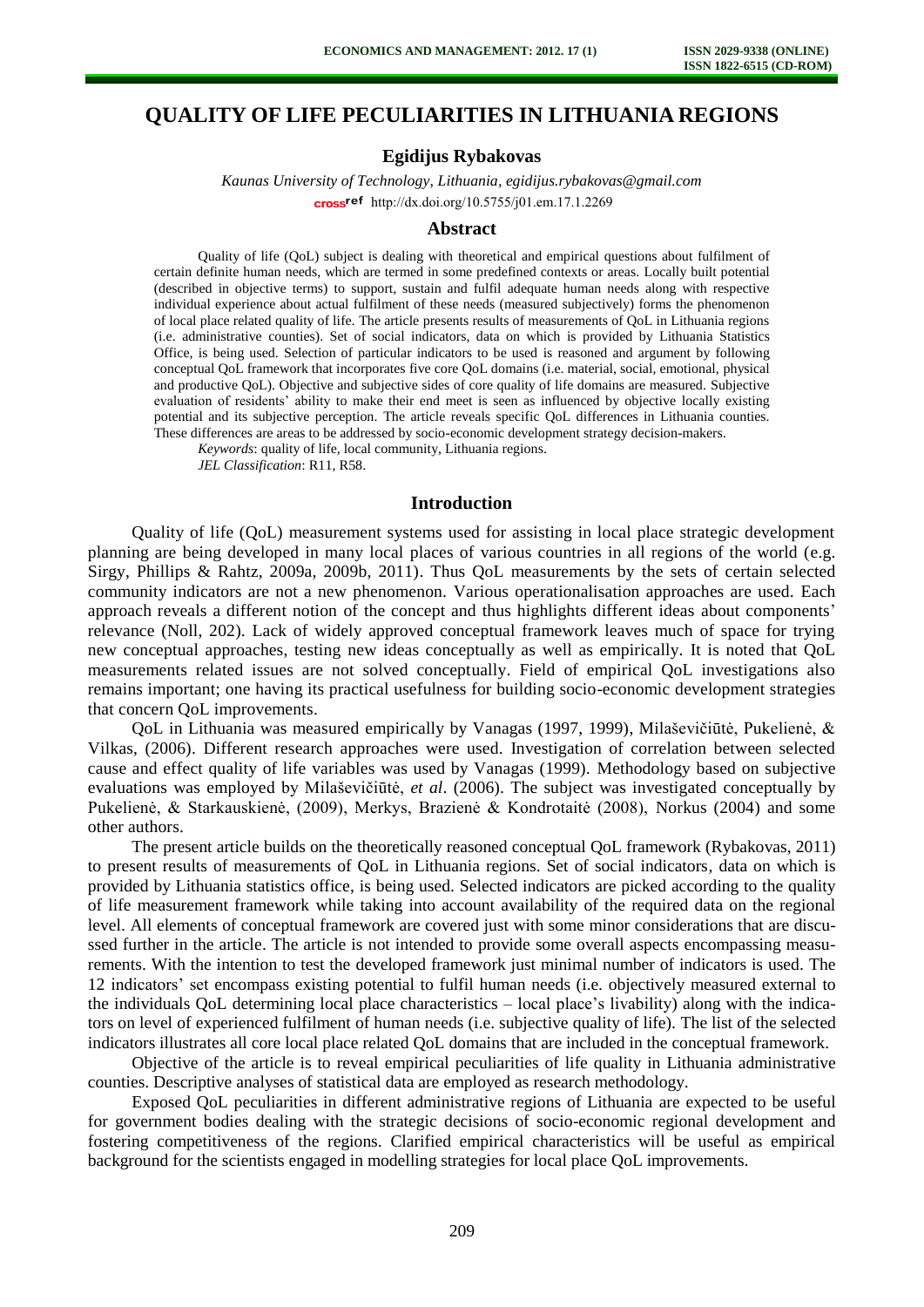# **QUALITY OF LIFE PECULIARITIES IN LITHUANIA REGIONS**

## **Egidijus Rybakovas**

*Kaunas University of Technology, Lithuania, egidijus.rybakovas@gmail.com*  cross<sup>ref</sup> [http://dx.doi.org/10.5755/j01.e](http://dx.doi.org/10.5755/j01.em.17.1.2269)m.17.1.2269

#### **Abstract**

Quality of life (QoL) subject is dealing with theoretical and empirical questions about fulfilment of certain definite human needs, which are termed in some predefined contexts or areas. Locally built potential (described in objective terms) to support, sustain and fulfil adequate human needs along with respective individual experience about actual fulfilment of these needs (measured subjectively) forms the phenomenon of local place related quality of life. The article presents results of measurements of QoL in Lithuania regions (i.e. administrative counties). Set of social indicators, data on which is provided by Lithuania Statistics Office, is being used. Selection of particular indicators to be used is reasoned and argument by following conceptual QoL framework that incorporates five core QoL domains (i.e. material, social, emotional, physical and productive QoL). Objective and subjective sides of core quality of life domains are measured. Subjective evaluation of residents' ability to make their end meet is seen as influenced by objective locally existing potential and its subjective perception. The article reveals specific QoL differences in Lithuania counties. These differences are areas to be addressed by socio-economic development strategy decision-makers.

*Keywords*: quality of life, local community, Lithuania regions.

*JEL Classification*: R11, R58.

# **Introduction**

Quality of life (QoL) measurement systems used for assisting in local place strategic development planning are being developed in many local places of various countries in all regions of the world (e.g. Sirgy, Phillips & Rahtz, 2009a, 2009b, 2011). Thus QoL measurements by the sets of certain selected community indicators are not a new phenomenon. Various operationalisation approaches are used. Each approach reveals a different notion of the concept and thus highlights different ideas about components' relevance (Noll, 202). Lack of widely approved conceptual framework leaves much of space for trying new conceptual approaches, testing new ideas conceptually as well as empirically. It is noted that QoL measurements related issues are not solved conceptually. Field of empirical QoL investigations also remains important; one having its practical usefulness for building socio-economic development strategies that concern QoL improvements.

QoL in Lithuania was measured empirically by Vanagas (1997, 1999), Milaševičiūtė, Pukelienė, & Vilkas, (2006). Different research approaches were used. Investigation of correlation between selected cause and effect quality of life variables was used by Vanagas (1999). Methodology based on subjective evaluations was employed by Milaševičiūtė, *et al*. (2006). The subject was investigated conceptually by Pukelienė, & Starkauskienė, (2009), Merkys, Brazienė & Kondrotaitė (2008), Norkus (2004) and some other authors.

The present article builds on the theoretically reasoned conceptual QoL framework (Rybakovas, 2011) to present results of measurements of QoL in Lithuania regions. Set of social indicators, data on which is provided by Lithuania statistics office, is being used. Selected indicators are picked according to the quality of life measurement framework while taking into account availability of the required data on the regional level. All elements of conceptual framework are covered just with some minor considerations that are discussed further in the article. The article is not intended to provide some overall aspects encompassing measurements. With the intention to test the developed framework just minimal number of indicators is used. The 12 indicators' set encompass existing potential to fulfil human needs (i.e. objectively measured external to the individuals QoL determining local place characteristics – local place's livability) along with the indicators on level of experienced fulfilment of human needs (i.e. subjective quality of life). The list of the selected indicators illustrates all core local place related QoL domains that are included in the conceptual framework.

Objective of the article is to reveal empirical peculiarities of life quality in Lithuania administrative counties. Descriptive analyses of statistical data are employed as research methodology.

Exposed QoL peculiarities in different administrative regions of Lithuania are expected to be useful for government bodies dealing with the strategic decisions of socio-economic regional development and fostering competitiveness of the regions. Clarified empirical characteristics will be useful as empirical background for the scientists engaged in modelling strategies for local place QoL improvements.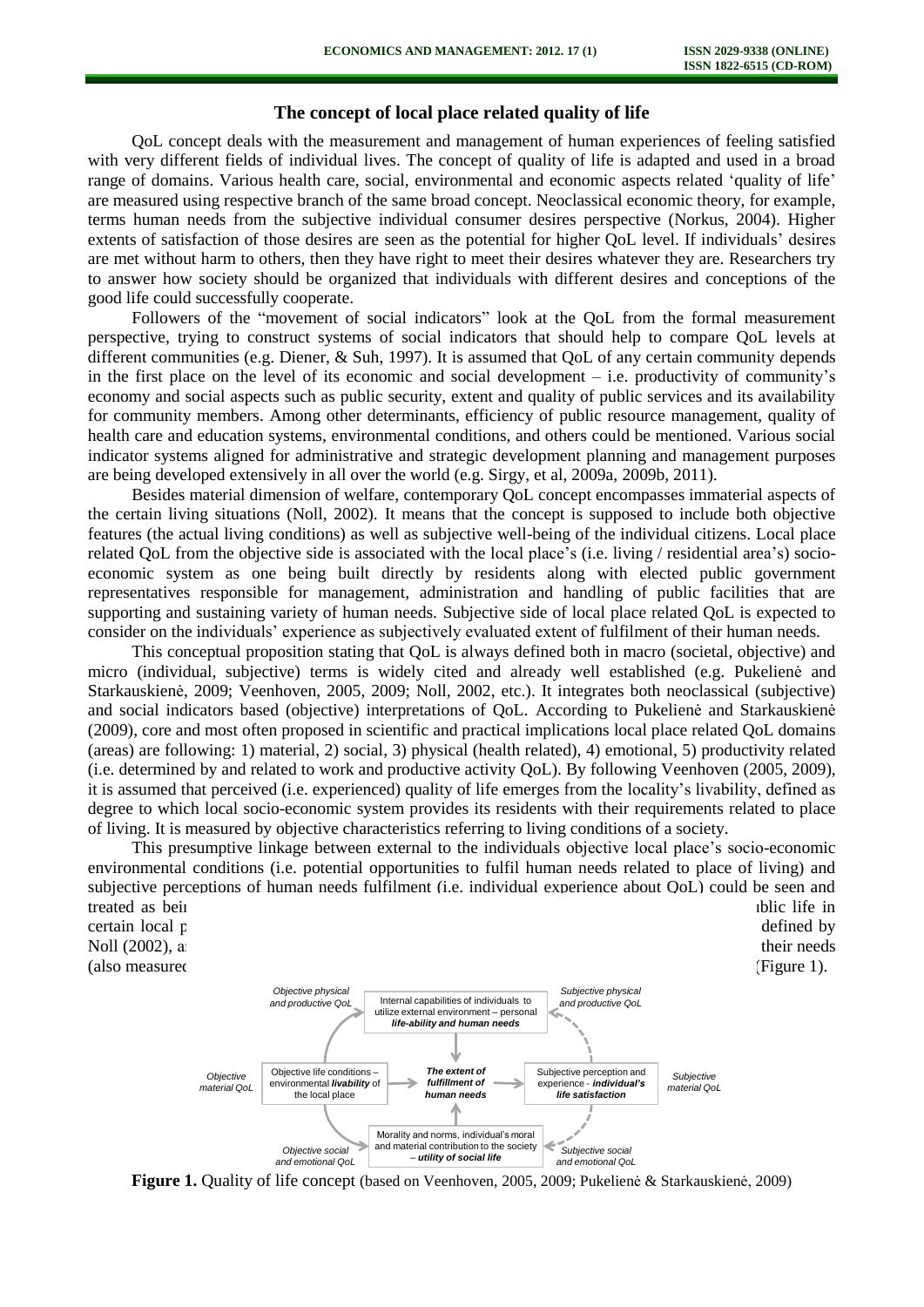## **The concept of local place related quality of life**

QoL concept deals with the measurement and management of human experiences of feeling satisfied with very different fields of individual lives. The concept of quality of life is adapted and used in a broad range of domains. Various health care, social, environmental and economic aspects related 'quality of life' are measured using respective branch of the same broad concept. Neoclassical economic theory, for example, terms human needs from the subjective individual consumer desires perspective (Norkus, 2004). Higher extents of satisfaction of those desires are seen as the potential for higher QoL level. If individuals' desires are met without harm to others, then they have right to meet their desires whatever they are. Researchers try to answer how society should be organized that individuals with different desires and conceptions of the good life could successfully cooperate.

Followers of the "movement of social indicators" look at the QoL from the formal measurement perspective, trying to construct systems of social indicators that should help to compare QoL levels at different communities (e.g. Diener, & Suh, 1997). It is assumed that QoL of any certain community depends in the first place on the level of its economic and social development  $-$  i.e. productivity of community's economy and social aspects such as public security, extent and quality of public services and its availability for community members. Among other determinants, efficiency of public resource management, quality of health care and education systems, environmental conditions, and others could be mentioned. Various social indicator systems aligned for administrative and strategic development planning and management purposes are being developed extensively in all over the world (e.g. Sirgy, et al, 2009a, 2009b, 2011).

Besides material dimension of welfare, contemporary QoL concept encompasses immaterial aspects of the certain living situations (Noll, 2002). It means that the concept is supposed to include both objective features (the actual living conditions) as well as subjective well-being of the individual citizens. Local place related QoL from the objective side is associated with the local place's (i.e. living / residential area's) socioeconomic system as one being built directly by residents along with elected public government representatives responsible for management, administration and handling of public facilities that are supporting and sustaining variety of human needs. Subjective side of local place related QoL is expected to consider on the individuals' experience as subjectively evaluated extent of fulfilment of their human needs.

This conceptual proposition stating that QoL is always defined both in macro (societal, objective) and micro (individual, subjective) terms is widely cited and already well established (e.g. Pukelienė and Starkauskienė, 2009; Veenhoven, 2005, 2009; Noll, 2002, etc.). It integrates both neoclassical (subjective) and social indicators based (objective) interpretations of QoL. According to Pukelienė and Starkauskienė (2009), core and most often proposed in scientific and practical implications local place related QoL domains (areas) are following: 1) material, 2) social, 3) physical (health related), 4) emotional, 5) productivity related (i.e. determined by and related to work and productive activity QoL). By following Veenhoven (2005, 2009), it is assumed that perceived (i.e. experienced) quality of life emerges from the locality's livability, defined as degree to which local socio-economic system provides its residents with their requirements related to place of living. It is measured by objective characteristics referring to living conditions of a society.

This presumptive linkage between external to the individuals objective local place's socio-economic environmental conditions (i.e. potential opportunities to fulfil human needs related to place of living) and subjective perceptions of human needs fulfilment (i.e. individual experience about QoL) could be seen and treated as being governed by two remaining  $\alpha$  remaining  $\alpha$  is social and public life in certain local place (in objectively and subjectively measured terms) or social cohesion, as it is defined by  $\alpha$ Noll (2002), and individually personal abilities to utilize external abilities to their needs (also measured in objective and subjective and subjective motivation to improve personal  $(Figure 1)$ ). Objective life conditions – environmental *livability* of Subjective perception and experience - *individual's*  Internal capabilities of individuals to utilize external environment – personal *life-ability and human needs The extent of fulfillment of Objective material QoL Subjective material QoL Objective physical and productive QoL Subjective physical and productive QoL*

**Figure 1.** Quality of life concept (based on Veenhoven, 2005, 2009; Pukelienė & Starkauskienė, 2009)

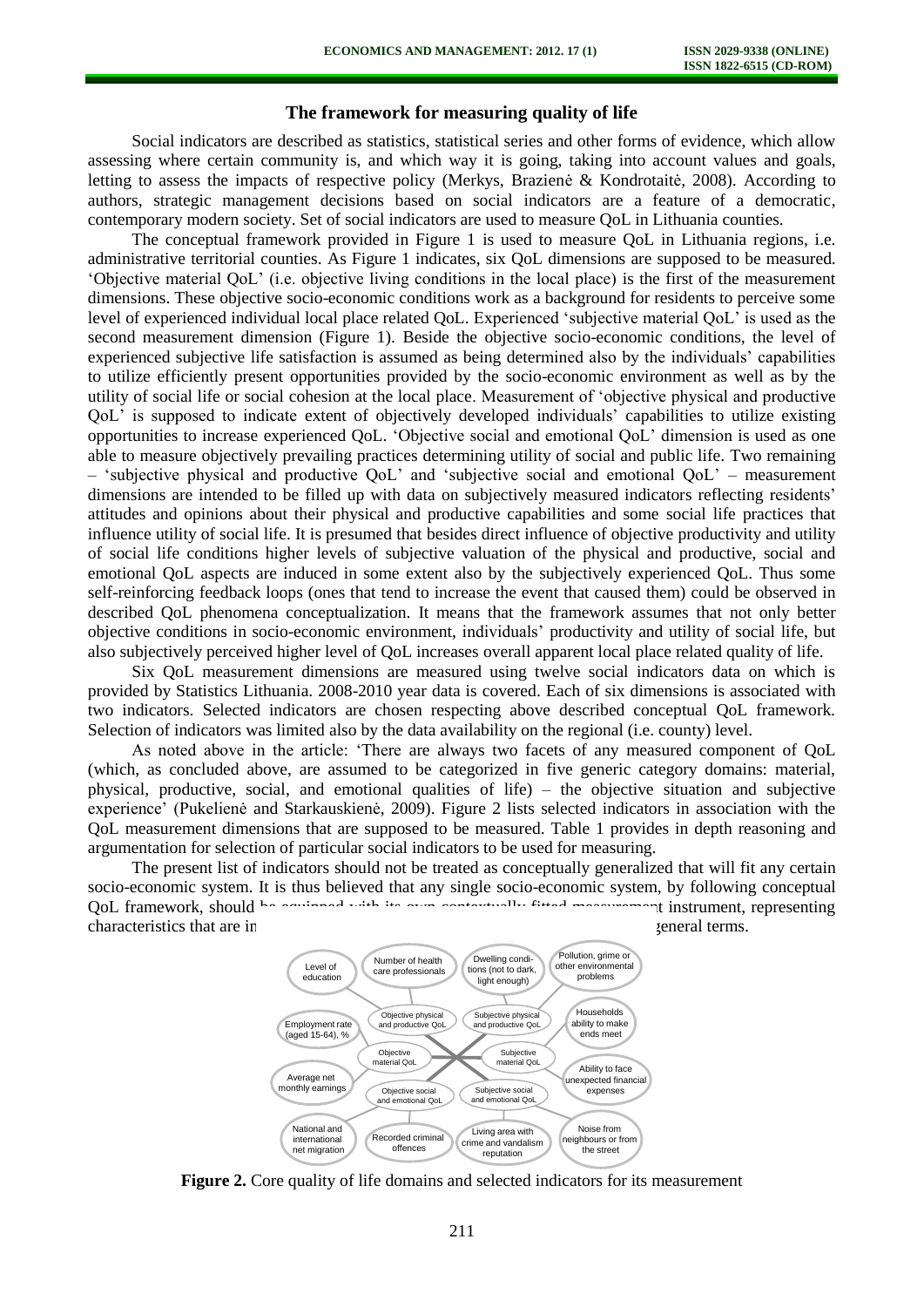# **The framework for measuring quality of life**

Social indicators are described as statistics, statistical series and other forms of evidence, which allow assessing where certain community is, and which way it is going, taking into account values and goals, letting to assess the impacts of respective policy (Merkys, Brazienė & Kondrotaitė, 2008). According to authors, strategic management decisions based on social indicators are a feature of a democratic, contemporary modern society. Set of social indicators are used to measure QoL in Lithuania counties.

The conceptual framework provided in Figure 1 is used to measure QoL in Lithuania regions, i.e. administrative territorial counties. As Figure 1 indicates, six QoL dimensions are supposed to be measured. 'Objective material QoL' (i.e. objective living conditions in the local place) is the first of the measurement dimensions. These objective socio-economic conditions work as a background for residents to perceive some level of experienced individual local place related QoL. Experienced 'subjective material QoL' is used as the second measurement dimension (Figure 1). Beside the objective socio-economic conditions, the level of experienced subjective life satisfaction is assumed as being determined also by the individuals' capabilities to utilize efficiently present opportunities provided by the socio-economic environment as well as by the utility of social life or social cohesion at the local place. Measurement of 'objective physical and productive QoL' is supposed to indicate extent of objectively developed individuals' capabilities to utilize existing opportunities to increase experienced QoL. 'Objective social and emotional QoL' dimension is used as one able to measure objectively prevailing practices determining utility of social and public life. Two remaining – 'subjective physical and productive QoL' and 'subjective social and emotional QoL' – measurement dimensions are intended to be filled up with data on subjectively measured indicators reflecting residents' attitudes and opinions about their physical and productive capabilities and some social life practices that influence utility of social life. It is presumed that besides direct influence of objective productivity and utility of social life conditions higher levels of subjective valuation of the physical and productive, social and emotional QoL aspects are induced in some extent also by the subjectively experienced QoL. Thus some self-reinforcing feedback loops (ones that tend to increase the event that caused them) could be observed in described QoL phenomena conceptualization. It means that the framework assumes that not only better objective conditions in socio-economic environment, individuals' productivity and utility of social life, but also subjectively perceived higher level of QoL increases overall apparent local place related quality of life.

Six QoL measurement dimensions are measured using twelve social indicators data on which is provided by Statistics Lithuania. 2008-2010 year data is covered. Each of six dimensions is associated with two indicators. Selected indicators are chosen respecting above described conceptual QoL framework. Selection of indicators was limited also by the data availability on the regional (i.e. county) level.

As noted above in the article: 'There are always two facets of any measured component of QoL (which, as concluded above, are assumed to be categorized in five generic category domains: material, physical, productive, social, and emotional qualities of life) – the objective situation and subjective experience' (Pukelienė and Starkauskienė, 2009). Figure 2 lists selected indicators in association with the QoL measurement dimensions that are supposed to be measured. Table 1 provides in depth reasoning and argumentation for selection of particular social indicators to be used for measuring.

The present list of indicators should not be treated as conceptually generalized that will fit any certain socio-economic system. It is thus believed that any single socio-economic system, by following conceptual QoL framework, should be continued with its own contextually fitted measurement instrument, representing characteristics that are in the system of the system, but not in general terms.



**Figure 2.** Core quality of life domains and selected indicators for its measurement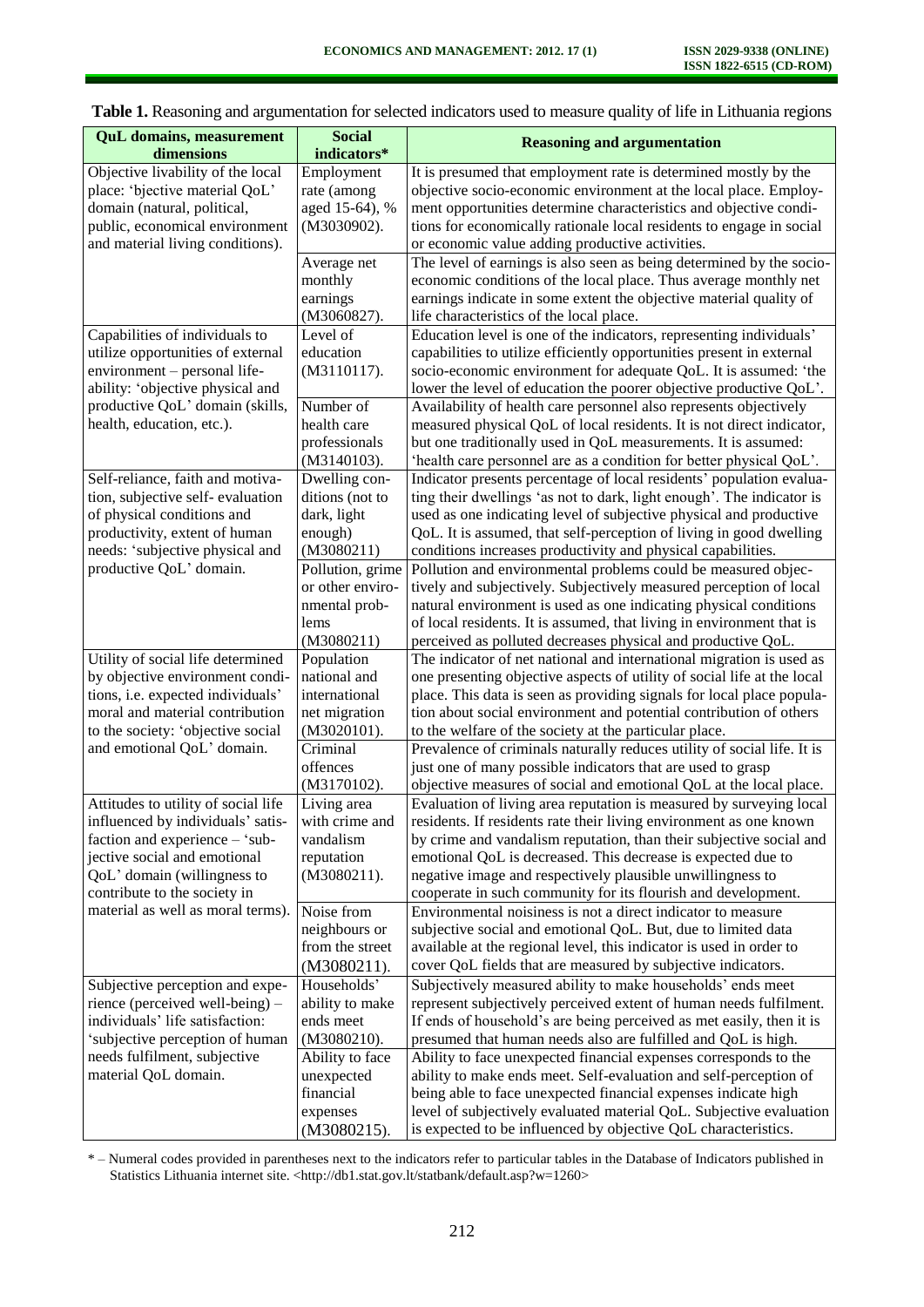| <b>QuL</b> domains, measurement<br>dimensions                            | <b>Social</b><br>indicators*     | <b>Reasoning and argumentation</b>                                                                                                              |  |
|--------------------------------------------------------------------------|----------------------------------|-------------------------------------------------------------------------------------------------------------------------------------------------|--|
| Objective livability of the local<br>place: 'bjective material QoL'      | Employment<br>rate (among        | It is presumed that employment rate is determined mostly by the<br>objective socio-economic environment at the local place. Employ-             |  |
| domain (natural, political,                                              | aged 15-64), %                   | ment opportunities determine characteristics and objective condi-                                                                               |  |
| public, economical environment<br>and material living conditions).       | (M3030902).                      | tions for economically rationale local residents to engage in social<br>or economic value adding productive activities.                         |  |
|                                                                          | Average net                      | The level of earnings is also seen as being determined by the socio-                                                                            |  |
|                                                                          | monthly<br>earnings              | economic conditions of the local place. Thus average monthly net<br>earnings indicate in some extent the objective material quality of          |  |
|                                                                          | (M3060827).                      | life characteristics of the local place.                                                                                                        |  |
| Capabilities of individuals to<br>utilize opportunities of external      | Level of<br>education            | Education level is one of the indicators, representing individuals'<br>capabilities to utilize efficiently opportunities present in external    |  |
| environment - personal life-                                             | (M3110117).                      | socio-economic environment for adequate QoL. It is assumed: 'the                                                                                |  |
| ability: 'objective physical and                                         |                                  | lower the level of education the poorer objective productive QoL'.                                                                              |  |
| productive QoL' domain (skills,<br>health, education, etc.).             | Number of<br>health care         | Availability of health care personnel also represents objectively<br>measured physical QoL of local residents. It is not direct indicator,      |  |
|                                                                          | professionals                    | but one traditionally used in QoL measurements. It is assumed:                                                                                  |  |
| Self-reliance, faith and motiva-                                         | (M3140103).<br>Dwelling con-     | 'health care personnel are as a condition for better physical QoL'.<br>Indicator presents percentage of local residents' population evalua-     |  |
| tion, subjective self-evaluation                                         | ditions (not to                  | ting their dwellings 'as not to dark, light enough'. The indicator is                                                                           |  |
| of physical conditions and                                               | dark, light                      | used as one indicating level of subjective physical and productive                                                                              |  |
| productivity, extent of human<br>needs: 'subjective physical and         | enough)<br>(M3080211)            | QoL. It is assumed, that self-perception of living in good dwelling<br>conditions increases productivity and physical capabilities.             |  |
| productive QoL' domain.                                                  | Pollution, grime                 | Pollution and environmental problems could be measured objec-                                                                                   |  |
|                                                                          | or other enviro-                 | tively and subjectively. Subjectively measured perception of local                                                                              |  |
|                                                                          | nmental prob-<br>lems            | natural environment is used as one indicating physical conditions<br>of local residents. It is assumed, that living in environment that is      |  |
|                                                                          | (M3080211)                       | perceived as polluted decreases physical and productive QoL.                                                                                    |  |
| Utility of social life determined<br>by objective environment condi-     | Population<br>national and       | The indicator of net national and international migration is used as<br>one presenting objective aspects of utility of social life at the local |  |
| tions, i.e. expected individuals'                                        | international                    | place. This data is seen as providing signals for local place popula-                                                                           |  |
| moral and material contribution                                          | net migration                    | tion about social environment and potential contribution of others                                                                              |  |
| to the society: 'objective social<br>and emotional QoL' domain.          | (M3020101).<br>Criminal          | to the welfare of the society at the particular place.<br>Prevalence of criminals naturally reduces utility of social life. It is               |  |
|                                                                          | offences                         | just one of many possible indicators that are used to grasp                                                                                     |  |
|                                                                          | (M3170102).                      | objective measures of social and emotional QoL at the local place.                                                                              |  |
| Attitudes to utility of social life<br>influenced by individuals' satis- | Living area<br>with crime and    | Evaluation of living area reputation is measured by surveying local<br>residents. If residents rate their living environment as one known       |  |
| faction and experience - 'sub-                                           | vandalism                        | by crime and vandalism reputation, than their subjective social and                                                                             |  |
| jective social and emotional<br>QoL' domain (willingness to              | reputation<br>(M3080211).        | emotional QoL is decreased. This decrease is expected due to<br>negative image and respectively plausible unwillingness to                      |  |
| contribute to the society in                                             |                                  | cooperate in such community for its flourish and development.                                                                                   |  |
| material as well as moral terms).                                        | Noise from                       | Environmental noisiness is not a direct indicator to measure                                                                                    |  |
|                                                                          | neighbours or<br>from the street | subjective social and emotional QoL. But, due to limited data<br>available at the regional level, this indicator is used in order to            |  |
|                                                                          | (M3080211).                      | cover QoL fields that are measured by subjective indicators.                                                                                    |  |
| Subjective perception and expe-                                          | Households'                      | Subjectively measured ability to make households' ends meet                                                                                     |  |
| rience (perceived well-being) -<br>individuals' life satisfaction:       | ability to make<br>ends meet     | represent subjectively perceived extent of human needs fulfilment.<br>If ends of household's are being perceived as met easily, then it is      |  |
| 'subjective perception of human                                          | (M3080210).                      | presumed that human needs also are fulfilled and QoL is high.                                                                                   |  |
| needs fulfilment, subjective                                             | Ability to face                  | Ability to face unexpected financial expenses corresponds to the                                                                                |  |
| material QoL domain.                                                     | unexpected<br>financial          | ability to make ends meet. Self-evaluation and self-perception of<br>being able to face unexpected financial expenses indicate high             |  |
|                                                                          | expenses                         | level of subjectively evaluated material QoL. Subjective evaluation                                                                             |  |
|                                                                          | (M3080215).                      | is expected to be influenced by objective QoL characteristics.                                                                                  |  |

|  | Table 1. Reasoning and argumentation for selected indicators used to measure quality of life in Lithuania regions |  |  |
|--|-------------------------------------------------------------------------------------------------------------------|--|--|
|--|-------------------------------------------------------------------------------------------------------------------|--|--|

\* – Numeral codes provided in parentheses next to the indicators refer to particular tables in the Database of Indicators published in Statistics Lithuania internet site. <http://db1.stat.gov.lt/statbank/default.asp?w=1260>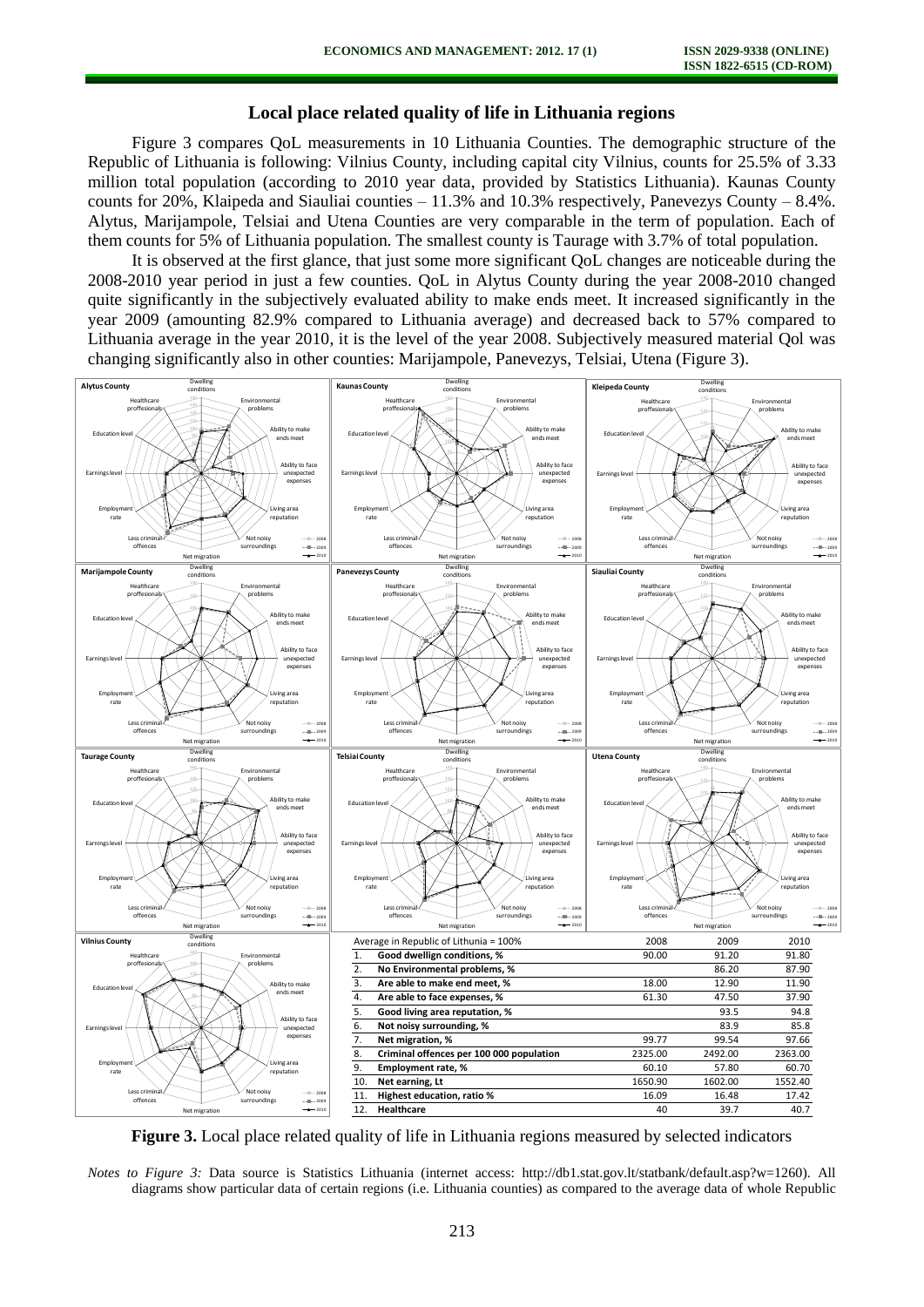#### **Local place related quality of life in Lithuania regions**

Figure 3 compares QoL measurements in 10 Lithuania Counties. The demographic structure of the Republic of Lithuania is following: Vilnius County, including capital city Vilnius, counts for 25.5% of 3.33 million total population (according to 2010 year data, provided by Statistics Lithuania). Kaunas County counts for 20%, Klaipeda and Siauliai counties – 11.3% and 10.3% respectively, Panevezys County – 8.4%. Alytus, Marijampole, Telsiai and Utena Counties are very comparable in the term of population. Each of them counts for 5% of Lithuania population. The smallest county is Taurage with 3.7% of total population.

It is observed at the first glance, that just some more significant QoL changes are noticeable during the 2008-2010 year period in just a few counties. QoL in Alytus County during the year 2008-2010 changed quite significantly in the subjectively evaluated ability to make ends meet. It increased significantly in the year 2009 (amounting 82.9% compared to Lithuania average) and decreased back to 57% compared to Lithuania average in the year 2010, it is the level of the year 2008. Subjectively measured material Qol was changing significantly also in other counties: Marijampole, Panevezys, Telsiai, Utena (Figure 3).



**Figure 3.** Local place related quality of life in Lithuania regions measured by selected indicators

*Notes to Figure 3:* Data source is Statistics Lithuania (internet access: http://db1.stat.gov.lt/statbank/default.asp?w=1260). All diagrams show particular data of certain regions (i.e. Lithuania counties) as compared to the average data of whole Republic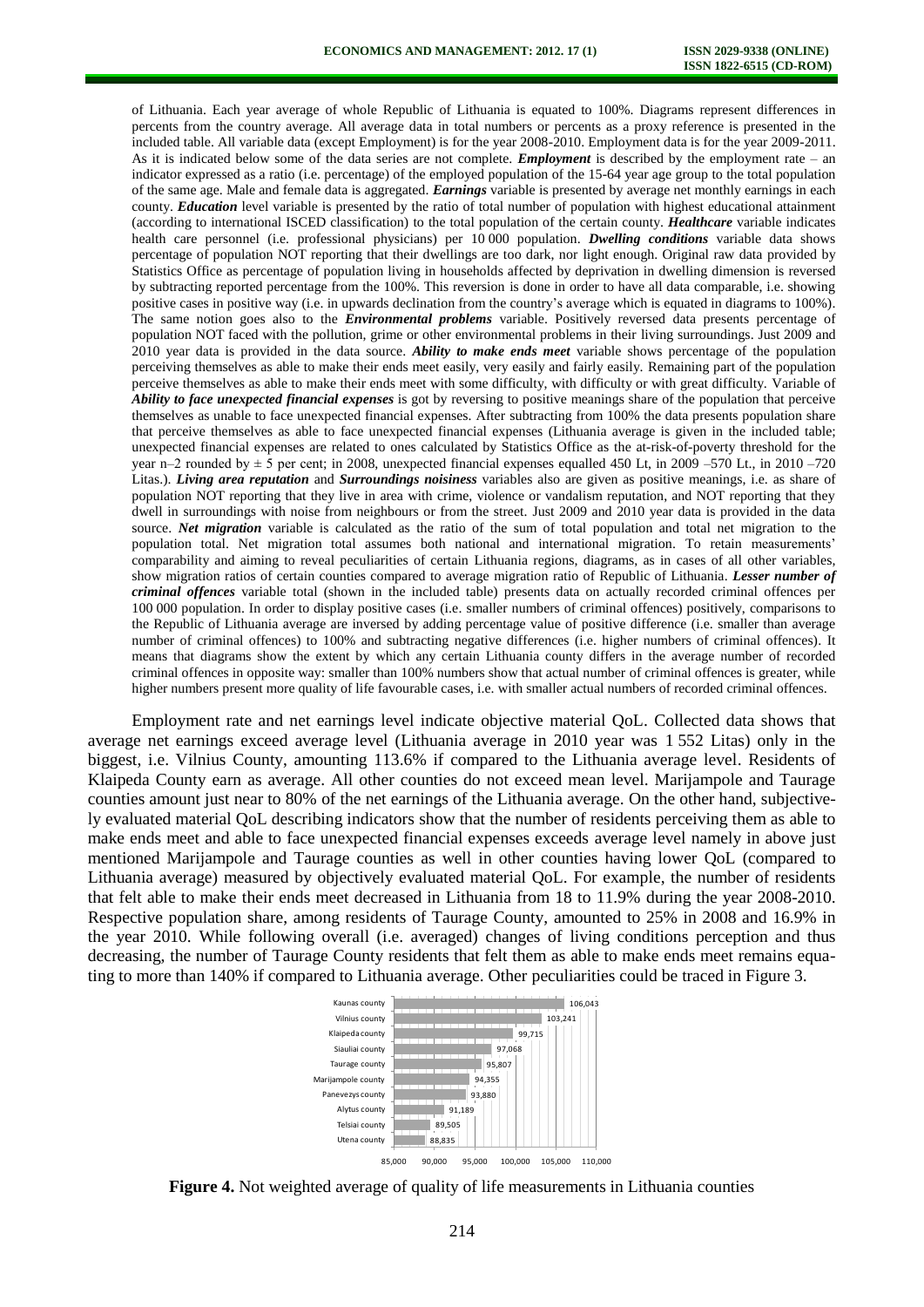of Lithuania. Each year average of whole Republic of Lithuania is equated to 100%. Diagrams represent differences in percents from the country average. All average data in total numbers or percents as a proxy reference is presented in the included table. All variable data (except Employment) is for the year 2008-2010. Employment data is for the year 2009-2011. As it is indicated below some of the data series are not complete. *Employment* is described by the employment rate – an indicator expressed as a ratio (i.e. percentage) of the employed population of the 15-64 year age group to the total population of the same age. Male and female data is aggregated. *Earnings* variable is presented by average net monthly earnings in each county. *Education* level variable is presented by the ratio of total number of population with highest educational attainment (according to international ISCED classification) to the total population of the certain county. *Healthcare* variable indicates health care personnel (i.e. professional physicians) per 10 000 population. *Dwelling conditions* variable data shows percentage of population NOT reporting that their dwellings are too dark, nor light enough. Original raw data provided by Statistics Office as percentage of population living in households affected by deprivation in dwelling dimension is reversed by subtracting reported percentage from the 100%. This reversion is done in order to have all data comparable, i.e. showing positive cases in positive way (i.e. in upwards declination from the country's average which is equated in diagrams to 100%). The same notion goes also to the *Environmental problems* variable. Positively reversed data presents percentage of population NOT faced with the pollution, grime or other environmental problems in their living surroundings. Just 2009 and 2010 year data is provided in the data source. *Ability to make ends meet* variable shows percentage of the population perceiving themselves as able to make their ends meet easily, very easily and fairly easily. Remaining part of the population perceive themselves as able to make their ends meet with some difficulty, with difficulty or with great difficulty. Variable of *Ability to face unexpected financial expenses* is got by reversing to positive meanings share of the population that perceive themselves as unable to face unexpected financial expenses. After subtracting from 100% the data presents population share that perceive themselves as able to face unexpected financial expenses (Lithuania average is given in the included table; unexpected financial expenses are related to ones calculated by Statistics Office as the at-risk-of-poverty threshold for the year n–2 rounded by ± 5 per cent; in 2008, unexpected financial expenses equalled 450 Lt, in 2009 –570 Lt., in 2010 –720 Litas.). *Living area reputation* and *Surroundings noisiness* variables also are given as positive meanings, i.e. as share of population NOT reporting that they live in area with crime, violence or vandalism reputation, and NOT reporting that they dwell in surroundings with noise from neighbours or from the street. Just 2009 and 2010 year data is provided in the data source. *Net migration* variable is calculated as the ratio of the sum of total population and total net migration to the population total. Net migration total assumes both national and international migration. To retain measurements' comparability and aiming to reveal peculiarities of certain Lithuania regions, diagrams, as in cases of all other variables, show migration ratios of certain counties compared to average migration ratio of Republic of Lithuania. *Lesser number of criminal offences* variable total (shown in the included table) presents data on actually recorded criminal offences per 100 000 population. In order to display positive cases (i.e. smaller numbers of criminal offences) positively, comparisons to the Republic of Lithuania average are inversed by adding percentage value of positive difference (i.e. smaller than average number of criminal offences) to 100% and subtracting negative differences (i.e. higher numbers of criminal offences). It means that diagrams show the extent by which any certain Lithuania county differs in the average number of recorded criminal offences in opposite way: smaller than 100% numbers show that actual number of criminal offences is greater, while higher numbers present more quality of life favourable cases, i.e. with smaller actual numbers of recorded criminal offences.

Employment rate and net earnings level indicate objective material QoL. Collected data shows that average net earnings exceed average level (Lithuania average in 2010 year was 1 552 Litas) only in the biggest, i.e. Vilnius County, amounting 113.6% if compared to the Lithuania average level. Residents of Klaipeda County earn as average. All other counties do not exceed mean level. Marijampole and Taurage counties amount just near to 80% of the net earnings of the Lithuania average. On the other hand, subjectively evaluated material QoL describing indicators show that the number of residents perceiving them as able to make ends meet and able to face unexpected financial expenses exceeds average level namely in above just mentioned Marijampole and Taurage counties as well in other counties having lower QoL (compared to Lithuania average) measured by objectively evaluated material QoL. For example, the number of residents that felt able to make their ends meet decreased in Lithuania from 18 to 11.9% during the year 2008-2010. Respective population share, among residents of Taurage County, amounted to 25% in 2008 and 16.9% in the year 2010. While following overall (i.e. averaged) changes of living conditions perception and thus decreasing, the number of Taurage County residents that felt them as able to make ends meet remains equating to more than 140% if compared to Lithuania average. Other peculiarities could be traced in Figure 3.



**Figure 4.** Not weighted average of quality of life measurements in Lithuania counties